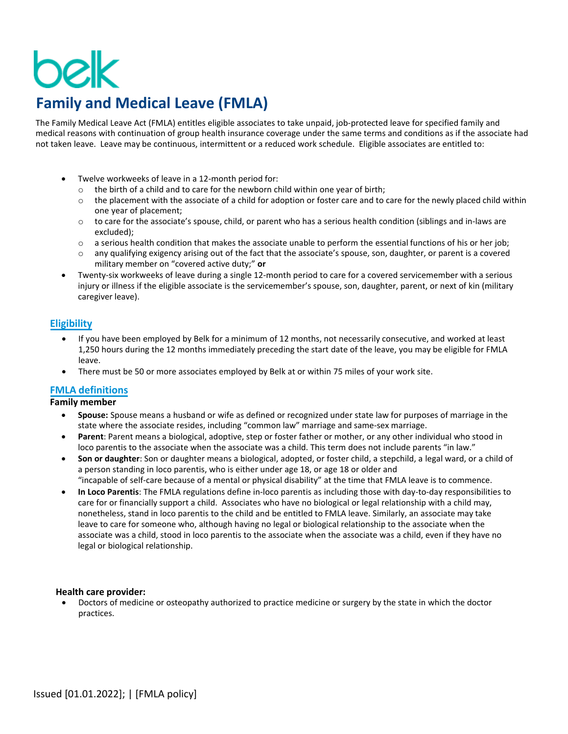# belk **Family and Medical Leave (FMLA)**

The Family Medical Leave Act (FMLA) entitles eligible associates to take unpaid, job-protected leave for specified family and medical reasons with continuation of group health insurance coverage under the same terms and conditions as if the associate had not taken leave. Leave may be continuous, intermittent or a reduced work schedule. Eligible associates are entitled to:

- Twelve workweeks of leave in a 12-month period for:
	- $\circ$  the birth of a child and to care for the newborn child within one year of birth;
	- $\circ$  the placement with the associate of a child for adoption or foster care and to care for the newly placed child within one year of placement;
	- o to care for the associate's spouse, child, or parent who has a serious health condition (siblings and in-laws are excluded);
	- $\circ$  a serious health condition that makes the associate unable to perform the essential functions of his or her job;
	- any qualifying exigency arising out of the fact that the associate's spouse, son, daughter, or parent is a covered military member on "covered active duty;" **or**
- Twenty-six workweeks of leave during a single 12-month period to care for a covered servicemember with a serious injury or illness if the eligible associate is the servicemember's spouse, son, daughter, parent, or next of kin (military caregiver leave).

# **Eligibility**

- If you have been employed by Belk for a minimum of 12 months, not necessarily consecutive, and worked at least 1,250 hours during the 12 months immediately preceding the start date of the leave, you may be eligible for FMLA leave.
- There must be 50 or more associates employed by Belk at or within 75 miles of your work site.

## **FMLA definitions**

#### **Family member**

- **Spouse:** Spouse means a husband or wife as defined or recognized under state law for purposes of marriage in the state where the associate resides, including "common law" marriage and same-sex marriage.
- **Parent**: Parent means a biological, adoptive, step or foster father or mother, or any other individual who stood in loco parentis to the associate when the associate was a child. This term does not include parents "in law."
- **Son or daughter**: Son or daughter means a biological, adopted, or foster child, a stepchild, a legal ward, or a child of a person standing in loco parentis, who is either under age 18, or age 18 or older and "incapable of self-care because of a mental or physical disability" at the time that FMLA leave is to commence.
- **In Loco Parentis**: The FMLA regulations define in-loco parentis as including those with day-to-day responsibilities to care for or financially support a child. Associates who have no biological or legal relationship with a child may, nonetheless, stand in loco parentis to the child and be entitled to FMLA leave. Similarly, an associate may take leave to care for someone who, although having no legal or biological relationship to the associate when the associate was a child, stood in loco parentis to the associate when the associate was a child, even if they have no legal or biological relationship.

#### **Health care provider:**

• Doctors of medicine or osteopathy authorized to practice medicine or surgery by the state in which the doctor practices.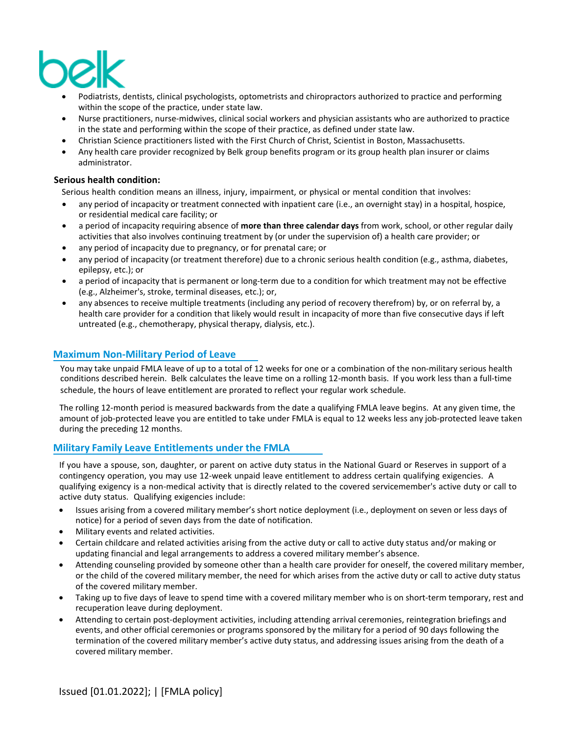

- Podiatrists, dentists, clinical psychologists, optometrists and chiropractors authorized to practice and performing within the scope of the practice, under state law.
- Nurse practitioners, nurse-midwives, clinical social workers and physician assistants who are authorized to practice in the state and performing within the scope of their practice, as defined under state law.
- Christian Science practitioners listed with the First Church of Christ, Scientist in Boston, Massachusetts.
- Any health care provider recognized by Belk group benefits program or its group health plan insurer or claims administrator.

## **Serious health condition:**

Serious health condition means an illness, injury, impairment, or physical or mental condition that involves:

- any period of incapacity or treatment connected with inpatient care (i.e., an overnight stay) in a hospital, hospice, or residential medical care facility; or
- a period of incapacity requiring absence of **more than three calendar days** from work, school, or other regular daily activities that also involves continuing treatment by (or under the supervision of) a health care provider; or
- any period of incapacity due to pregnancy, or for prenatal care; or
- any period of incapacity (or treatment therefore) due to a chronic serious health condition (e.g., asthma, diabetes, epilepsy, etc.); or
- a period of incapacity that is permanent or long-term due to a condition for which treatment may not be effective (e.g., Alzheimer's, stroke, terminal diseases, etc.); or,
- any absences to receive multiple treatments (including any period of recovery therefrom) by, or on referral by, a health care provider for a condition that likely would result in incapacity of more than five consecutive days if left untreated (e.g., chemotherapy, physical therapy, dialysis, etc.).

## **Maximum Non-Military Period of Leave**

You may take unpaid FMLA leave of up to a total of 12 weeks for one or a combination of the non-military serious health conditions described herein. Belk calculates the leave time on a rolling 12-month basis. If you work less than a full-time schedule, the hours of leave entitlement are prorated to reflect your regular work schedule.

The rolling 12-month period is measured backwards from the date a qualifying FMLA leave begins. At any given time, the amount of job-protected leave you are entitled to take under FMLA is equal to 12 weeks less any job-protected leave taken during the preceding 12 months.

## **Military Family Leave Entitlements under the FMLA**

If you have a spouse, son, daughter, or parent on active duty status in the National Guard or Reserves in support of a contingency operation, you may use 12-week unpaid leave entitlement to address certain qualifying exigencies. A qualifying exigency is a non-medical activity that is directly related to the covered servicemember's active duty or call to active duty status. Qualifying exigencies include:

- Issues arising from a covered military member's short notice deployment (i.e., deployment on seven or less days of notice) for a period of seven days from the date of notification.
- Military events and related activities.
- Certain childcare and related activities arising from the active duty or call to active duty status and/or making or updating financial and legal arrangements to address a covered military member's absence.
- Attending counseling provided by someone other than a health care provider for oneself, the covered military member, or the child of the covered military member, the need for which arises from the active duty or call to active duty status of the covered military member.
- Taking up to five days of leave to spend time with a covered military member who is on short-term temporary, rest and recuperation leave during deployment.
- Attending to certain post-deployment activities, including attending arrival ceremonies, reintegration briefings and events, and other official ceremonies or programs sponsored by the military for a period of 90 days following the termination of the covered military member's active duty status, and addressing issues arising from the death of a covered military member.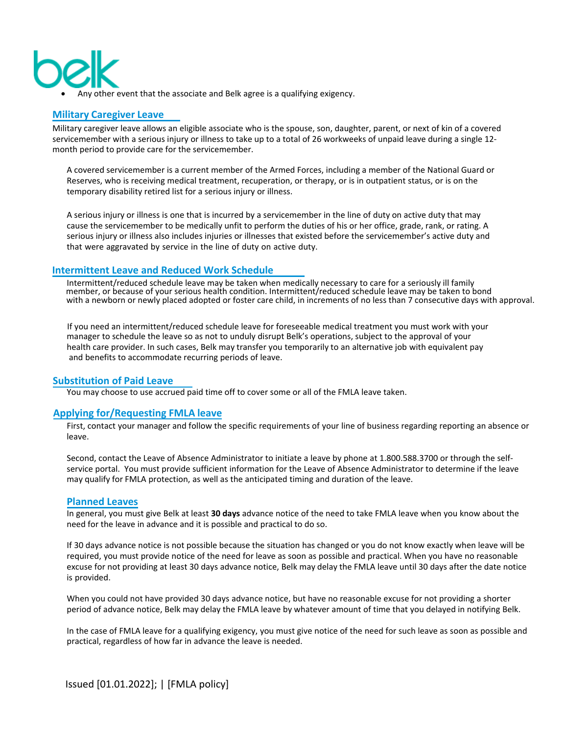

• Any other event that the associate and Belk agree is a qualifying exigency.

## **Military Caregiver Leave**

Military caregiver leave allows an eligible associate who is the spouse, son, daughter, parent, or next of kin of a covered servicemember with a serious injury or illness to take up to a total of 26 workweeks of unpaid leave during a single 12 month period to provide care for the servicemember.

A covered servicemember is a current member of the Armed Forces, including a member of the National Guard or Reserves, who is receiving medical treatment, recuperation, or therapy, or is in outpatient status, or is on the temporary disability retired list for a serious injury or illness.

A serious injury or illness is one that is incurred by a servicemember in the line of duty on active duty that may cause the servicemember to be medically unfit to perform the duties of his or her office, grade, rank, or rating. A serious injury or illness also includes injuries or illnesses that existed before the servicemember's active duty and that were aggravated by service in the line of duty on active duty.

## **Intermittent Leave and Reduced Work Schedule**

Intermittent/reduced schedule leave may be taken when medically necessary to care for a seriously ill family member, or because of your serious health condition. Intermittent/reduced schedule leave may be taken to bond with a newborn or newly placed adopted or foster care child, in increments of no less than 7 consecutive days with approval.

If you need an intermittent/reduced schedule leave for foreseeable medical treatment you must work with your manager to schedule the leave so as not to unduly disrupt Belk's operations, subject to the approval of your health care provider. In such cases, Belk may transfer you temporarily to an altern[ative job with equ](http://www.dol.gov/cgi-bin/leave-dol.asp?exiturl=http://s.dol.gov/8U&exitTitle=www.ecfr.gov&fedpage=yes)ivalent pay and benefits to accommodate recurring periods of leave.

#### **Substitution of Paid Leave**

You may choose to use accrued paid time off to cover some or all of the FMLA leave taken.

#### **Applying for/Requesting FMLA leave**

First, contact your manager and follow the specific requirements of your line of business regarding reporting an absence or leave.

Second, contact the Leave of Absence Administrator to initiate a leave by phone at 1.800.588.3700 or through the selfservice portal. You must provide sufficient information for the Leave of Absence Administrator to determine if the leave may qualify for FMLA protection, as well as the anticipated timing and duration of the leave.

#### **Planned Leaves**

In general, you must give Belk at least **30 days** advance notice of the need to take FMLA leave when you know about the need for the leave in advance and it is possible and practical to do so.

If 30 days advance notice is not possible because the situation has changed or you do not know exactly when leave will be required, you must provide notice of the need for leave as soon as possible and practical. When you have no reasonable excuse for not providing at least 30 days advance notice, Belk may delay the FMLA leave until 30 days after the date notice is provided.

When you could not have provided 30 days advance notice, but have no reasonable excuse for not providing a shorter period of advance notice, Belk may delay the FMLA leave by whatever amount of time that you delayed in notifying Belk.

In the case of FMLA leave for a qualifying exigency, you must give notice of the need for such leave as soon as possible and practical, regardless of how far in advance the leave is needed.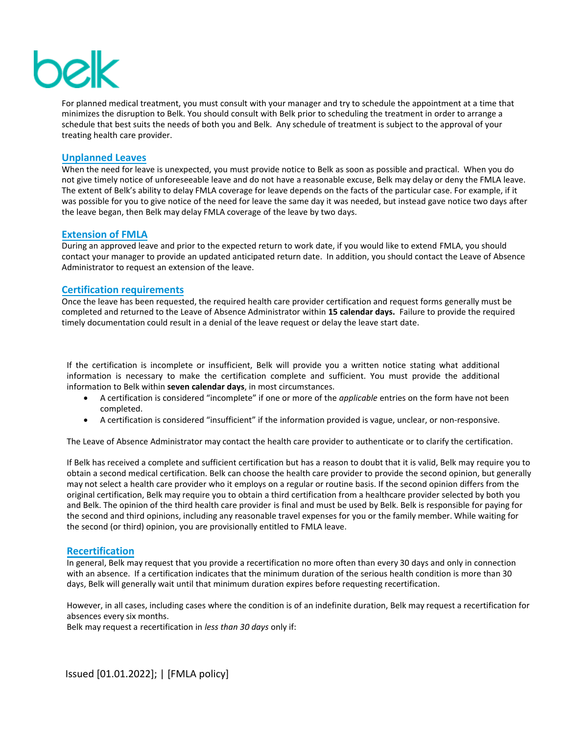

For planned medical treatment, you must consult with your manager and try to schedule the appointment at a time that minimizes the disruption to Belk. You should consult with Belk prior to scheduling the treatment in order to arrange a schedule that best suits the needs of both you and Belk. Any schedule of treatment is subject to the approval of your treating health care provider.

#### **Unplanned Leaves**

When the need for leave is unexpected, you must provide notice to Belk as soon as possible and practical. When you do not give timely notice of unforeseeable leave and do not have a reasonable excuse, Belk may delay or deny the FMLA leave. The extent of Belk's ability to delay FMLA coverage for leave depends on the facts of the particular case. For example, if it was possible for you to give notice of the need for leave the same day it was needed, but instead gave notice two days after the leave began, then Belk may delay FMLA coverage of the leave by two days.

#### **Extension of FMLA**

During an approved leave and prior to the expected return to work date, if you would like to extend FMLA, you should contact your manager to provide an updated anticipated return date. In addition, you should contact the Leave of Absence Administrator to request an extension of the leave.

## **Certification requirements**

Once the leave has been requested, the required health care provider certification and request forms generally must be completed and returned to the Leave of Absence Administrator within **15 calendar days.** Failure to provide the required timely documentation could result in a denial of the leave request or delay the leave start date.

If the certification is incomplete or insufficient, Belk will provide you a written notice stating what additional information is necessary to make the certification complete and sufficient. You must provide the additional information to Belk within **seven calendar days**, in most circumstances.

- A certification is considered "incomplete" if one or more of the *applicable* entries on the form have not been completed.
- A certification is considered "insufficient" if the information provided is vague, unclear, or non-responsive.

The Leave of Absence Administrator may contact the health care provider to authenticate or to clarify the certification.

If Belk has received a complete and sufficient certification but has a reason to doubt that it is valid, Belk may require you to obtain a second medical certification. Belk can choose the health care provider to provide the second opinion, but generally may not select a health care provider who it employs on a regular or routine basis. If the second opinion differs from the original certification, Belk may require you to obtain a third certification from a healthcare provider selected by both you and Belk. The opinion of the third health care provider is final and must be used by Belk. Belk is responsible for paying for the second and third opinions, including any reasonable travel expenses for you or the family member. While waiting for the second (or third) opinion, you are provisionally entitled to FMLA leave.

#### **Recertification**

In general, Belk may request that you provide a recertification no more often than every 30 days and only in connection with an absence. If a certification indicates that the minimum duration of the serious health condition is more than 30 days, Belk will generally wait until that minimum duration expires before requesting recertification.

However, in all cases, including cases where the condition is of an indefinite duration, Belk may request a recertification for absences every six months.

Belk may request a recertification in *less than 30 days* only if: